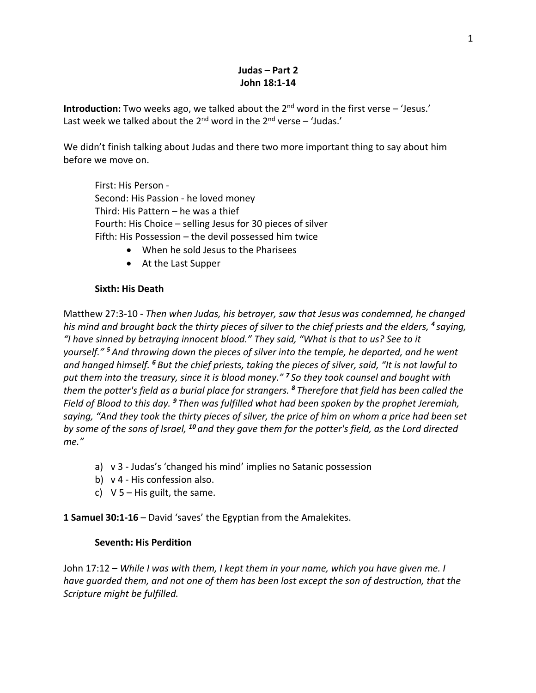## **Judas – Part 2 John 18:1-14**

**Introduction:** Two weeks ago, we talked about the 2<sup>nd</sup> word in the first verse – 'Jesus.' Last week we talked about the  $2^{nd}$  word in the  $2^{nd}$  verse – 'Judas.'

We didn't finish talking about Judas and there two more important thing to say about him before we move on.

First: His Person - Second: His Passion - he loved money Third: His Pattern – he was a thief Fourth: His Choice – selling Jesus for 30 pieces of silver Fifth: His Possession – the devil possessed him twice

- When he sold Jesus to the Pharisees
- At the Last Supper

## **Sixth: His Death**

Matthew 27:3-10 - *Then when Judas, his betrayer, saw that Jesus was condemned, he changed his mind and brought back the thirty pieces of silver to the chief priests and the elders, <sup>4</sup> saying, "I have sinned by betraying innocent blood." They said, "What is that to us? See to it yourself." <sup>5</sup> And throwing down the pieces of silver into the temple, he departed, and he went and hanged himself. <sup>6</sup> But the chief priests, taking the pieces of silver, said, "It is not lawful to put them into the treasury, since it is blood money." <sup>7</sup> So they took counsel and bought with them the potter's field as a burial place for strangers. <sup>8</sup> Therefore that field has been called the Field of Blood to this day. <sup>9</sup> Then was fulfilled what had been spoken by the prophet Jeremiah, saying, "And they took the thirty pieces of silver, the price of him on whom a price had been set by some of the sons of Israel, <sup>10</sup> and they gave them for the potter's field, as the Lord directed me."*

- a) v 3 Judas's 'changed his mind' implies no Satanic possession
- b) v 4 His confession also.
- c)  $V$  5 His guilt, the same.

**1 Samuel 30:1-16** – David 'saves' the Egyptian from the Amalekites.

## **Seventh: His Perdition**

John 17:12 – *While I was with them, I kept them in your name, which you have given me. I have guarded them, and not one of them has been lost except the son of destruction, that the Scripture might be fulfilled.*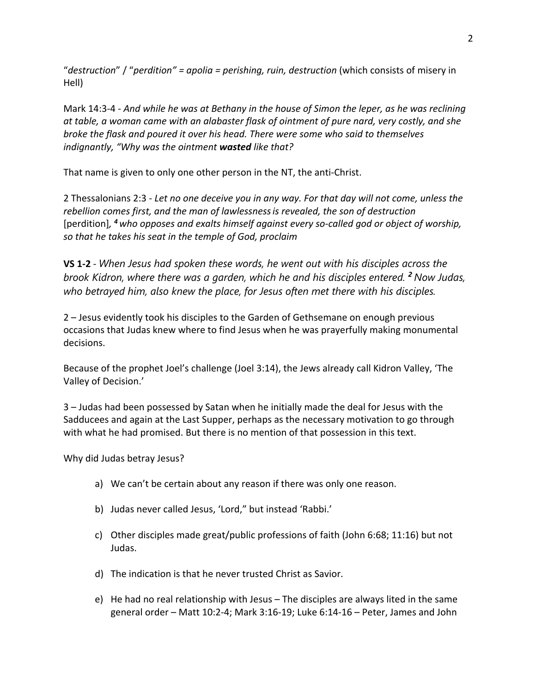"*destruction*" / "*perdition" = apolia = perishing, ruin, destruction* (which consists of misery in Hell)

Mark 14:3-4 - *And while he was at Bethany in the house of Simon the leper, as he was reclining at table, a woman came with an alabaster flask of ointment of pure nard, very costly, and she broke the flask and poured it over his head. There were some who said to themselves indignantly, "Why was the ointment wasted like that?*

That name is given to only one other person in the NT, the anti-Christ.

2 Thessalonians 2:3 - *Let no one deceive you in any way. For that day will not come, unless the rebellion comes first, and the man of lawlessnessis revealed, the son of destruction*  [perdition]*, <sup>4</sup> who opposes and exalts himself against every so-called god or object of worship, so that he takes his seat in the temple of God, proclaim*

**VS 1-2** - *When Jesus had spoken these words, he went out with his disciples across the brook Kidron, where there was a garden, which he and his disciples entered. <sup>2</sup> Now Judas, who betrayed him, also knew the place, for Jesus often met there with his disciples.*

2 – Jesus evidently took his disciples to the Garden of Gethsemane on enough previous occasions that Judas knew where to find Jesus when he was prayerfully making monumental decisions.

Because of the prophet Joel's challenge (Joel 3:14), the Jews already call Kidron Valley, 'The Valley of Decision.'

3 – Judas had been possessed by Satan when he initially made the deal for Jesus with the Sadducees and again at the Last Supper, perhaps as the necessary motivation to go through with what he had promised. But there is no mention of that possession in this text.

Why did Judas betray Jesus?

- a) We can't be certain about any reason if there was only one reason.
- b) Judas never called Jesus, 'Lord," but instead 'Rabbi.'
- c) Other disciples made great/public professions of faith (John 6:68; 11:16) but not Judas.
- d) The indication is that he never trusted Christ as Savior.
- e) He had no real relationship with Jesus The disciples are always lited in the same general order – Matt 10:2-4; Mark 3:16-19; Luke 6:14-16 – Peter, James and John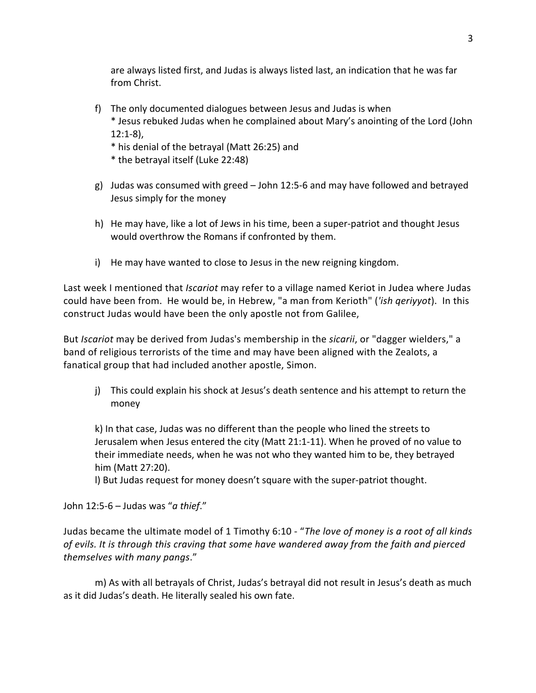are always listed first, and Judas is always listed last, an indication that he was far from Christ.

f) The only documented dialogues between Jesus and Judas is when

\* Jesus rebuked Judas when he complained about Mary's anointing of the Lord (John 12:1-8),

- \* his denial of the betrayal (Matt 26:25) and
- \* the betrayal itself (Luke 22:48)
- g) Judas was consumed with greed John 12:5-6 and may have followed and betrayed Jesus simply for the money
- h) He may have, like a lot of Jews in his time, been a super-patriot and thought Jesus would overthrow the Romans if confronted by them.
- i) He may have wanted to close to Jesus in the new reigning kingdom.

Last week I mentioned that *Iscariot* may refer to a village named Keriot in Judea where Judas could have been from. He would be, in Hebrew, "a man from Kerioth" (*'ish qeriyyot*). In this construct Judas would have been the only apostle not from Galilee,

But *Iscariot* may be derived from Judas's membership in the *sicarii*, or "dagger wielders," a band of religious terrorists of the time and may have been aligned with the Zealots, a fanatical group that had included another apostle, Simon.

j) This could explain his shock at Jesus's death sentence and his attempt to return the money

k) In that case, Judas was no different than the people who lined the streets to Jerusalem when Jesus entered the city (Matt 21:1-11). When he proved of no value to their immediate needs, when he was not who they wanted him to be, they betrayed him (Matt 27:20).

l) But Judas request for money doesn't square with the super-patriot thought.

John 12:5-6 – Judas was "*a thief*."

Judas became the ultimate model of 1 Timothy 6:10 - "*The love of money is a root of all kinds of evils. It is through this craving that some have wandered away from the faith and pierced themselves with many pangs*."

m) As with all betrayals of Christ, Judas's betrayal did not result in Jesus's death as much as it did Judas's death. He literally sealed his own fate.